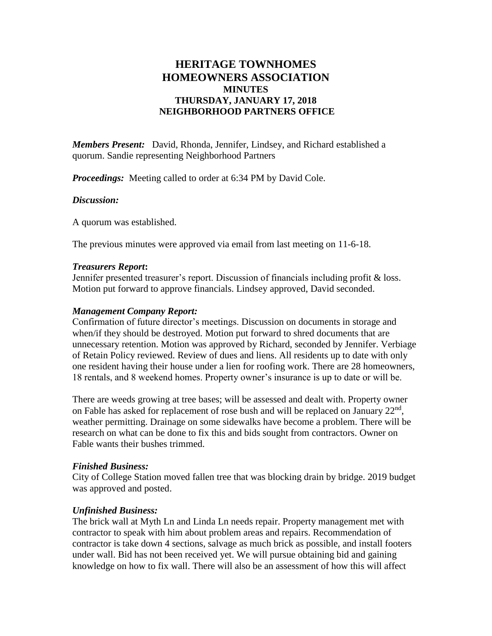# **HERITAGE TOWNHOMES HOMEOWNERS ASSOCIATION MINUTES THURSDAY, JANUARY 17, 2018 NEIGHBORHOOD PARTNERS OFFICE**

*Members Present:* David, Rhonda, Jennifer, Lindsey, and Richard established a quorum. Sandie representing Neighborhood Partners

*Proceedings:* Meeting called to order at 6:34 PM by David Cole.

## *Discussion:*

A quorum was established.

The previous minutes were approved via email from last meeting on 11-6-18.

#### *Treasurers Report***:**

Jennifer presented treasurer's report. Discussion of financials including profit & loss. Motion put forward to approve financials. Lindsey approved, David seconded.

### *Management Company Report:*

Confirmation of future director's meetings. Discussion on documents in storage and when/if they should be destroyed. Motion put forward to shred documents that are unnecessary retention. Motion was approved by Richard, seconded by Jennifer. Verbiage of Retain Policy reviewed. Review of dues and liens. All residents up to date with only one resident having their house under a lien for roofing work. There are 28 homeowners, 18 rentals, and 8 weekend homes. Property owner's insurance is up to date or will be.

There are weeds growing at tree bases; will be assessed and dealt with. Property owner on Fable has asked for replacement of rose bush and will be replaced on January 22<sup>nd</sup>, weather permitting. Drainage on some sidewalks have become a problem. There will be research on what can be done to fix this and bids sought from contractors. Owner on Fable wants their bushes trimmed.

## *Finished Business:*

City of College Station moved fallen tree that was blocking drain by bridge. 2019 budget was approved and posted.

## *Unfinished Business:*

The brick wall at Myth Ln and Linda Ln needs repair. Property management met with contractor to speak with him about problem areas and repairs. Recommendation of contractor is take down 4 sections, salvage as much brick as possible, and install footers under wall. Bid has not been received yet. We will pursue obtaining bid and gaining knowledge on how to fix wall. There will also be an assessment of how this will affect